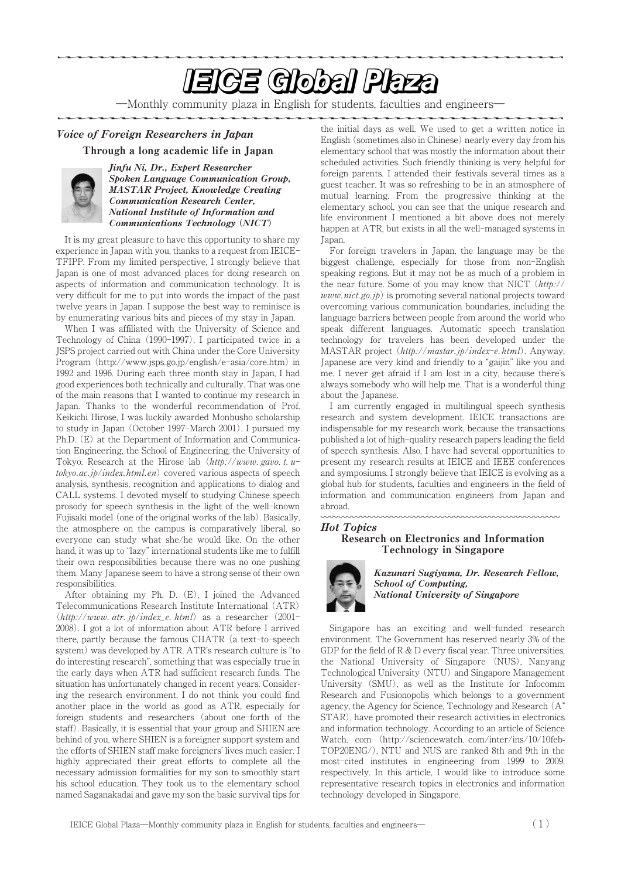# **EIGE Global Plaza**

―Monthly community plaza in English for students, faculties and engineers―

## Voice of Foreign Researchers in Japan

Through a long academic life in Japan



Jinfu Ni, Dr., Expert Researcher Spoken Language Communication Group, MASTAR Project, Knowledge Creating Communication Research Center, National Institute of Information and Communications Technology (NICT)

It is my great pleasure to have this opportunity to share my experience in Japan with you, thanks to a request from IEICE-TFIPP. From my limited perspective, I strongly believe that Japan is one of most advanced places for doing research on aspects of information and communication technology. It is very difficult for me to put into words the impact of the past twelve years in Japan. I suppose the best way to reminisce is by enumerating various bits and pieces of my stay in Japan.

When I was affiliated with the University of Science and Technology of China (1990-1997), I participated twice in a JSPS project carried out with China under the Core University Program (http://www.jsps.go.jp/english/e-asia/core.htm) in 1992 and 1996. During each three month stay in Japan, I had good experiences both technically and culturally. That was one of the main reasons that I wanted to continue my research in Japan. Thanks to the wonderful recommendation of Prof. Keikichi Hirose, I was luckily awarded Monbusho scholarship to study in Japan (October 1997-March 2001). I pursued my Ph.D. (E) at the Department of Information and Communication Engineering, the School of Engineering, the University of Tokyo. Research at the Hirose lab  $(http://www.gavo.t.u$  $tokyo.ac.jp/index.html,en)$  covered various aspects of speech analysis, synthesis, recognition and applications to dialog and CALL systems. I devoted myself to studying Chinese speech prosody for speech synthesis in the light of the well-known Fujisaki model (one of the original works of the lab). Basically, the atmosphere on the campus is comparatively liberal, so everyone can study what she/he would like. On the other hand, it was up to "lazy" international students like me to fulfill their own responsibilities because there was no one pushing them. Many Japanese seem to have a strong sense of their own responsibilities.

After obtaining my Ph. D. (E), I joined the Advanced Telecommunications Research Institute International (ATR)  $(http://www. atr. jp/index_e.html)$  as a researcher  $(2001–$ 2008). I got a lot of information about ATR before I arrived there, partly because the famous CHATR (a text-to-speech system) was developed by ATR. ATR's research culture is "to do interesting research", something that was especially true in the early days when ATR had sufficient research funds. The situation has unfortunately changed in recent years. Considering the research environment, I do not think you could find another place in the world as good as ATR, especially for foreign students and researchers (about one-forth of the staff). Basically, it is essential that your group and SHIEN are behind of you, where SHIEN is a foreigner support system and the efforts of SHIEN staff make foreigners' lives much easier. I highly appreciated their great efforts to complete all the necessary admission formalities for my son to smoothly start his school education. They took us to the elementary school named Saganakadai and gave my son the basic survival tips for

the initial days as well. We used to get a written notice in English (sometimes also in Chinese) nearly every day from his elementary school that was mostly the information about their scheduled activities. Such friendly thinking is very helpful for foreign parents. I attended their festivals several times as a guest teacher. It was so refreshing to be in an atmosphere of mutual learning. From the progressive thinking at the elementary school, you can see that the unique research and life environment I mentioned a bit above does not merely happen at ATR, but exists in all the well-managed systems in Japan.

For foreign travelers in Japan, the language may be the biggest challenge, especially for those from non-English speaking regions. But it may not be as much of a problem in the near future. Some of you may know that NICT (http://  $www.nict.gov.jb)$  is promoting several national projects toward overcoming various communication boundaries, including the language barriers between people from around the world who speak different languages. Automatic speech translation technology for travelers has been developed under the MASTAR project (http://mastar.jp/index-e.html). Anyway, Japanese are very kind and friendly to a "gaijin" like you and me. I never get afraid if I am lost in a city, because there's always somebody who will help me. That is a wonderful thing about the Japanese.

I am currently engaged in multilingual speech synthesis research and system development. IEICE transactions are indispensable for my research work, because the transactions published a lot of high-quality research papers leading the field of speech synthesis. Also, I have had several opportunities to present my research results at IEICE and IEEE conferences and symposiums. I strongly believe that IEICE is evolving as a global hub for students, faculties and engineers in the field of information and communication engineers from Japan and abroad. 

## Hot Topics

#### Research on Electronics and Information Technology in Singapore



Kazunari Sugiyama, Dr. Research Fellow, School of Computing, National University of Singapore

Singapore has an exciting and well-funded research environment. The Government has reserved nearly 3% of the GDP for the field of  $R & D$  every fiscal year. Three universities, the National University of Singapore (NUS), Nanyang Technological University (NTU) and Singapore Management University (SMU), as well as the Institute for Infocomm Research and Fusionopolis which belongs to a government agency, the Agency for Science, Technology and Research (A\* STAR), have promoted their research activities in electronics and information technology. According to an article of Science Watch. com (http://sciencewatch. com/inter/ins/10/10feb-TOP20ENG/), NTU and NUS are ranked 8th and 9th in the most-cited institutes in engineering from 1999 to 2009, respectively. In this article, I would like to introduce some representative research topics in electronics and information technology developed in Singapore.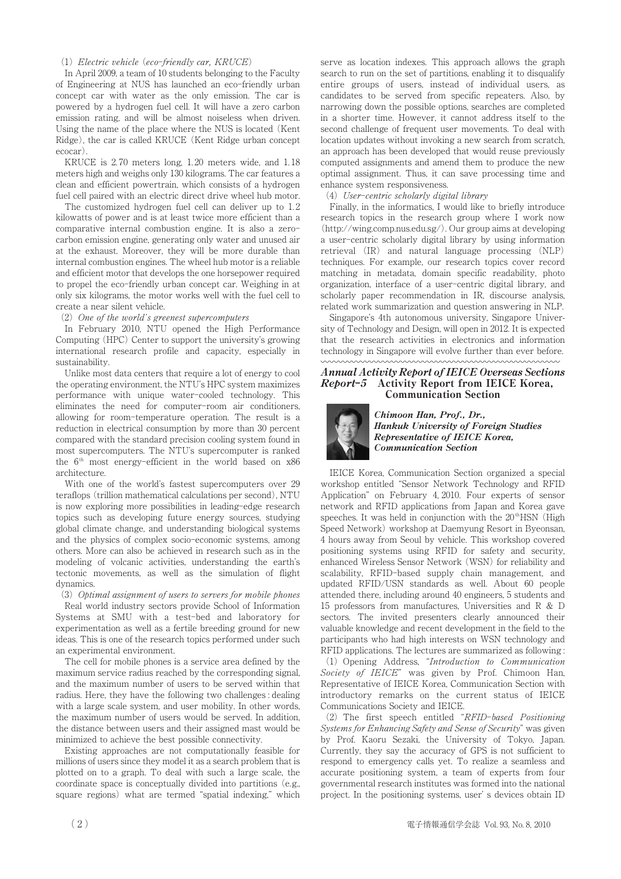#### (1) Electric vehicle (eco-friendly car, KRUCE)

In April 2009, a team of 10 students belonging to the Faculty of Engineering at NUS has launched an eco-friendly urban concept car with water as the only emission. The car is powered by a hydrogen fuel cell. It will have a zero carbon emission rating, and will be almost noiseless when driven. Using the name of the place where the NUS is located (Kent Ridge), the car is called KRUCE (Kent Ridge urban concept ecocar).

KRUCE is 2. 70 meters long, 1. 20 meters wide, and 1. 18 meters high and weighs only 130 kilograms. The car features a clean and efficient powertrain, which consists of a hydrogen fuel cell paired with an electric direct drive wheel hub motor.

The customized hydrogen fuel cell can deliver up to 1.2 kilowatts of power and is at least twice more efficient than a comparative internal combustion engine. It is also a zerocarbon emission engine, generating only water and unused air at the exhaust. Moreover, they will be more durable than internal combustion engines. The wheel hub motor is a reliable and efficient motor that develops the one horsepower required to propel the eco-friendly urban concept car. Weighing in at only six kilograms, the motor works well with the fuel cell to create a near silent vehicle.

(2) One of the world's greenest supercomputers

In February 2010, NTU opened the High Performance Computing (HPC) Center to support the university's growing international research profile and capacity, especially in sustainability.

Unlike most data centers that require a lot of energy to cool the operating environment, the NTU's HPC system maximizes performance with unique water-cooled technology. This eliminates the need for computer-room air conditioners, allowing for room-temperature operation. The result is a reduction in electrical consumption by more than 30 percent compared with the standard precision cooling system found in most supercomputers. The NTU's supercomputer is ranked the  $6<sup>th</sup>$  most energy-efficient in the world based on  $x86$ architecture.

With one of the world's fastest supercomputers over 29 teraflops (trillion mathematical calculations per second), NTU is now exploring more possibilities in leading-edge research topics such as developing future energy sources, studying global climate change, and understanding biological systems and the physics of complex socio-economic systems, among others. More can also be achieved in research such as in the modeling of volcanic activities, understanding the earth's tectonic movements, as well as the simulation of flight dynamics.

(3) Optimal assignment of users to servers for mobile phones

Real world industry sectors provide School of Information Systems at SMU with a test-bed and laboratory for experimentation as well as a fertile breeding ground for new ideas. This is one of the research topics performed under such an experimental environment.

The cell for mobile phones is a service area defined by the maximum service radius reached by the corresponding signal, and the maximum number of users to be served within that radius. Here, they have the following two challenges : dealing with a large scale system, and user mobility. In other words, the maximum number of users would be served. In addition, the distance between users and their assigned mast would be minimized to achieve the best possible connectivity.

Existing approaches are not computationally feasible for millions of users since they model it as a search problem that is plotted on to a graph. To deal with such a large scale, the coordinate space is conceptually divided into partitions (e.g., square regions) what are termed "spatial indexing," which serve as location indexes. This approach allows the graph search to run on the set of partitions, enabling it to disqualify entire groups of users, instead of individual users, as candidates to be served from specific repeaters. Also, by narrowing down the possible options, searches are completed in a shorter time. However, it cannot address itself to the second challenge of frequent user movements. To deal with location updates without invoking a new search from scratch, an approach has been developed that would reuse previously computed assignments and amend them to produce the new optimal assignment. Thus, it can save processing time and enhance system responsiveness.

(4) User-centric scholarly digital library

Finally, in the informatics, I would like to briefly introduce research topics in the research group where I work now (http://wing.comp.nus.edu.sg/). Our group aims at developing a user-centric scholarly digital library by using information retrieval (IR) and natural language processing (NLP) techniques. For example, our research topics cover record matching in metadata, domain specific readability, photo organization, interface of a user-centric digital library, and scholarly paper recommendation in IR, discourse analysis, related work summarization and question answering in NLP.

Singapore's 4th autonomous university, Singapore University of Technology and Design, will open in 2012. It is expected that the research activities in electronics and information technology in Singapore will evolve further than ever before. mmmmmmmmmmmmm

Annual Activity Report of IEICE Overseas Sections Report-5 Activity Report from IEICE Korea, Communication Section



Chimoon Han, Prof., Dr., Hankuk University of Foreign Studies Representative of IEICE Korea, Communication Section

IEICE Korea, Communication Section organized a special workshop entitled "Sensor Network Technology and RFID Application" on February 4, 2010. Four experts of sensor network and RFID applications from Japan and Korea gave speeches. It was held in conjunction with the  $20<sup>th</sup>$ HSN (High Speed Network) workshop at Daemyung Resort in Byeonsan, 4 hours away from Seoul by vehicle. This workshop covered positioning systems using RFID for safety and security, enhanced Wireless Sensor Network (WSN) for reliability and scalability, RFID-based supply chain management, and updated RFID/USN standards as well. About 60 people attended there, including around 40 engineers, 5 students and 15 professors from manufactures, Universities and R & D sectors. The invited presenters clearly announced their valuable knowledge and recent development in the field to the participants who had high interests on WSN technology and RFID applications. The lectures are summarized as following : (1) Opening Address, "Introduction to Communication

Society of IEICE" was given by Prof. Chimoon Han, Representative of IEICE Korea, Communication Section with introductory remarks on the current status of IEICE Communications Society and IEICE.

(2) The first speech entitled "RFID-based Positioning Systems for Enhancing Safety and Sense of Security" was given by Prof. Kaoru Sezaki, the University of Tokyo, Japan. Currently, they say the accuracy of GPS is not sufficient to respond to emergency calls yet. To realize a seamless and accurate positioning system, a team of experts from four governmental research institutes was formed into the national project. In the positioning systems, user' s devices obtain ID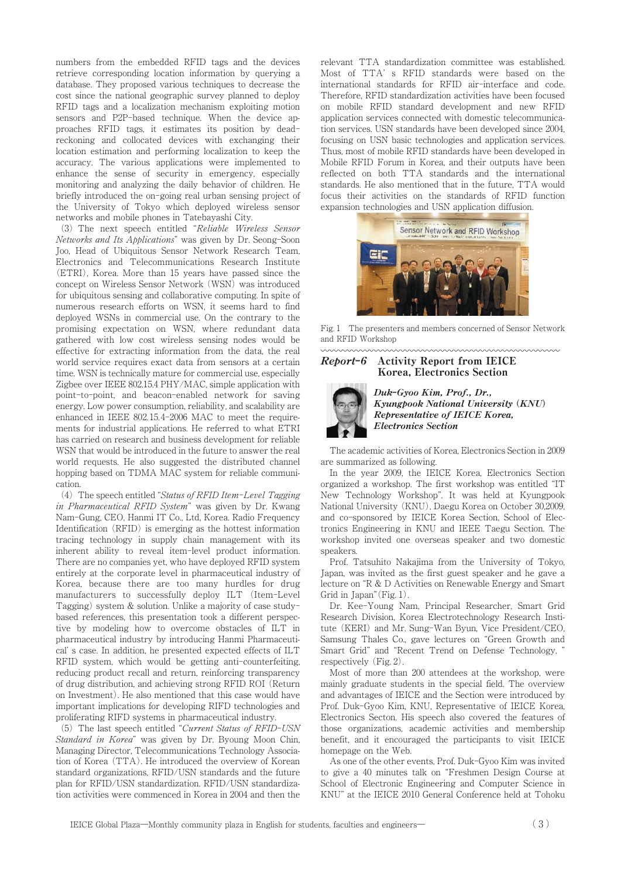numbers from the embedded RFID tags and the devices retrieve corresponding location information by querying a database. They proposed various techniques to decrease the cost since the national geographic survey planned to deploy RFID tags and a localization mechanism exploiting motion sensors and P2P-based technique. When the device approaches RFID tags, it estimates its position by deadreckoning and collocated devices with exchanging their location estimation and performing localization to keep the accuracy. The various applications were implemented to enhance the sense of security in emergency, especially monitoring and analyzing the daily behavior of children. He briefly introduced the on-going real urban sensing project of the University of Tokyo which deployed wireless sensor networks and mobile phones in Tatebayashi City.

(3) The next speech entitled "Reliable Wireless Sensor Networks and Its Applications" was given by Dr. Seong-Soon Joo, Head of Ubiquitous Sensor Network Research Team, Electronics and Telecommunications Research Institute (ETRI), Korea. More than 15 years have passed since the concept on Wireless Sensor Network (WSN) was introduced for ubiquitous sensing and collaborative computing. In spite of numerous research efforts on WSN, it seems hard to find deployed WSNs in commercial use. On the contrary to the promising expectation on WSN, where redundant data gathered with low cost wireless sensing nodes would be effective for extracting information from the data, the real world service requires exact data from sensors at a certain time. WSN is technically mature for commercial use, especially Zigbee over IEEE 802.15.4 PHY/MAC, simple application with point-to-point, and beacon-enabled network for saving energy. Low power consumption, reliability, and scalability are enhanced in IEEE 802. 15. 4-2006 MAC to meet the requirements for industrial applications. He referred to what ETRI has carried on research and business development for reliable WSN that would be introduced in the future to answer the real world requests. He also suggested the distributed channel hopping based on TDMA MAC system for reliable communication.

(4) The speech entitled "Status of RFID Item-Level Tagging in Pharmaceutical RFID System" was given by Dr. Kwang Nam-Gung, CEO, Hanmi IT Co., Ltd, Korea. Radio Frequency Identification (RFID) is emerging as the hottest information tracing technology in supply chain management with its inherent ability to reveal item-level product information. There are no companies yet, who have deployed RFID system entirely at the corporate level in pharmaceutical industry of Korea, because there are too many hurdles for drug manufacturers to successfully deploy ILT (Item-Level Tagging) system & solution. Unlike a majority of case studybased references, this presentation took a different perspective by modeling how to overcome obstacles of ILT in pharmaceutical industry by introducing Hanmi Pharmaceutical' s case. In addition, he presented expected effects of ILT RFID system, which would be getting anti-counterfeiting, reducing product recall and return, reinforcing transparency of drug distribution, and achieving strong RFID ROI (Return on Investment). He also mentioned that this case would have important implications for developing RIFD technologies and proliferating RIFD systems in pharmaceutical industry.

(5) The last speech entitled "Current Status of RFID-USN Standard in Korea" was given by Dr. Byoung Moon Chin, Managing Director, Telecommunications Technology Association of Korea (TTA). He introduced the overview of Korean standard organizations, RFID/USN standards and the future plan for RFID/USN standardization. RFID/USN standardization activities were commenced in Korea in 2004 and then the

relevant TTA standardization committee was established. Most of TTA' s RFID standards were based on the international standards for RFID air-interface and code. Therefore, RFID standardization activities have been focused on mobile RFID standard development and new RFID application services connected with domestic telecommunication services. USN standards have been developed since 2004, focusing on USN basic technologies and application services. Thus, most of mobile RFID standards have been developed in Mobile RFID Forum in Korea, and their outputs have been reflected on both TTA standards and the international standards. He also mentioned that in the future, TTA would focus their activities on the standards of RFID function expansion technologies and USN application diffusion.



Fig. 1 The presenters and members concerned of Sensor Network and RFID Workshop

## Report-6 Activity Report from IEICE Korea, Electronics Section



 $000000000000$ 

Duk-Gyoo Kim, Prof., Dr., Kyungpook National University (KNU) Representative of IEICE Korea, Electronics Section

The academic activities of Korea, Electronics Section in 2009 are summarized as following.

In the year 2009, the IEICE Korea, Electronics Section organized a workshop. The first workshop was entitled "IT New Technology Workshop". It was held at Kyungpook National University (KNU), Daegu Korea on October 30,2009, and co-sponsored by IEICE Korea Section, School of Electronics Engineering in KNU and IEEE Taegu Section. The workshop invited one overseas speaker and two domestic speakers.

Prof. Tatsuhito Nakajima from the University of Tokyo, Japan, was invited as the first guest speaker and he gave a lecture on "R & D Activities on Renewable Energy and Smart Grid in Japan"(Fig. 1).

Dr. Kee-Young Nam, Principal Researcher, Smart Grid Research Division, Korea Electrotechnology Research Institute (KERI) and Mr. Sung-Wan Byun, Vice President/CEO, Samsung Thales Co., gave lectures on "Green Growth and Smart Grid" and "Recent Trend on Defense Technology, respectively (Fig. 2).

Most of more than 200 attendees at the workshop, were mainly graduate students in the special field. The overview and advantages of IEICE and the Section were introduced by Prof. Duk-Gyoo Kim, KNU, Representative of IEICE Korea, Electronics Secton. His speech also covered the features of those organizations, academic activities and membership benefit, and it encouraged the participants to visit IEICE homepage on the Web.

As one of the other events, Prof. Duk-Gyoo Kim was invited to give a 40 minutes talk on "Freshmen Design Course at School of Electronic Engineering and Computer Science in KNU" at the IEICE 2010 General Conference held at Tohoku